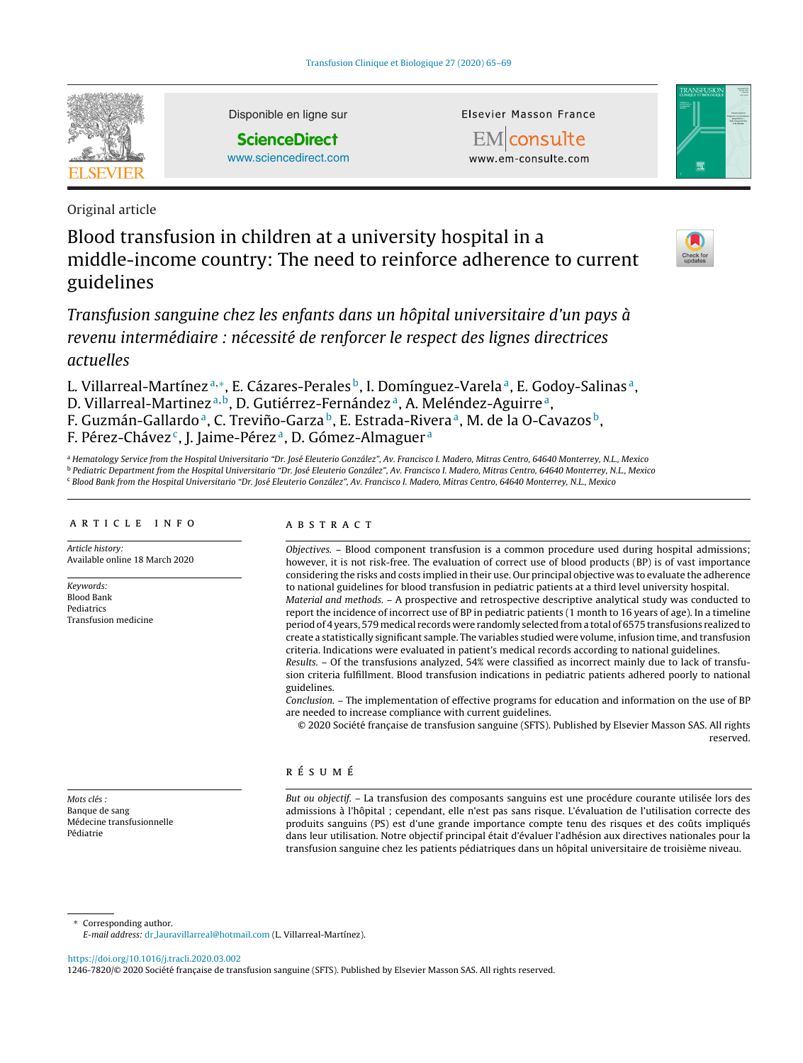

Disponible en ligne sur

**ScienceDirect** [www.sciencedirect.com](http://www.sciencedirect.com/science/journal/12467820) Elsevier Masson France

EMconsulte www.em-consulte.com



Original article

# Blood transfusion in children at a university hospital in a middle-income country: The need to reinforce adherence to current guidelines

Transfusion sanguine chez les enfants dans un hôpital universitaire d'un pays à revenu intermédiaire : nécessité de renforcer le respect des lignes directrices actuelles

L. Villarreal-Martínez<sup>a,\*</sup>, E. Cázares-Perales<sup>b</sup>, I. Domínguez-Varela<sup>a</sup>, E. Godoy-Salinas<sup>a</sup>, D. Villarreal-Martinez<sup>a,b</sup>, D. Gutiérrez-Fernández<sup>a</sup>, A. Meléndez-Aguirre<sup>a</sup>, F. Guzmán-Gallardo<sup>a</sup>, C. Treviño-Garza<sup>b</sup>, E. Estrada-Rivera<sup>a</sup>, M. de la O-Cavazos<sup>b</sup>, F. Pérez-Chávez<sup>c</sup>, J. Jaime-Pérez<sup>a</sup>, D. Gómez-Almaguer<sup>a</sup>

<sup>a</sup> Hematology Service from the Hospital Universitario "Dr. José Eleuterio González", Av. Francisco I. Madero, Mitras Centro, 64640 Monterrey, N.L., Mexico <sup>b</sup> Pediatric Department from the Hospital Universitario "Dr. José Eleuterio González", Av. Francisco I. Madero, Mitras Centro, 64640 Monterrey, N.L., Mexico <sup>c</sup> Blood Bank from the Hospital Universitario "Dr. José Eleuterio González", Av. Francisco I. Madero, Mitras Centro, 64640 Monterrey, N.L., Mexico

## a r t i c l e i n f o

Article history: Available online 18 March 2020

Keywords: Blood Bank Pediatrics Transfusion medicine

Mots clés : Banque de sang Médecine transfusionnelle Pédiatrie

## A B S T R A C T

Objectives. – Blood component transfusion is a common procedure used during hospital admissions; however, it is not risk-free. The evaluation of correct use of blood products (BP) is of vast importance considering the risks and costs implied in their use. Our principal objective was to evaluate the adherence to national guidelines for blood transfusion in pediatric patients at a third level university hospital. Material and methods. – A prospective and retrospective descriptive analytical study was conducted to

report the incidence of incorrect use of BP in pediatric patients (1 month to 16 years of age). In a timeline period of 4 years, 579medical records were randomly selected froma total of 6575 transfusions realized to create a statistically significant sample. The variables studied were volume, infusion time, and transfusion criteria. Indications were evaluated in patient's medical records according to national guidelines.

Results. – Of the transfusions analyzed, 54% were classified as incorrect mainly due to lack of transfusion criteria fulfillment. Blood transfusion indications in pediatric patients adhered poorly to national guidelines.

Conclusion. – The implementation of effective programs for education and information on the use of BP are needed to increase compliance with current guidelines.

© 2020 Société française de transfusion sanguine (SFTS). Published by Elsevier Masson SAS. All rights reserved.

# r é s u m é

But ou objectif. – La transfusion des composants sanguins est une procédure courante utilisée lors des admissions à l'hôpital ; cependant, elle n'est pas sans risque. L'évaluation de l'utilisation correcte des produits sanguins (PS) est d'une grande importance compte tenu des risques et des coûts impliqués dans leur utilisation. Notre objectif principal était d'évaluer l'adhésion aux directives nationales pour la transfusion sanguine chez les patients pédiatriques dans un hôpital universitaire de troisième niveau.

Corresponding author.

<https://doi.org/10.1016/j.tracli.2020.03.002>

1246-7820/© 2020 Société française de transfusion sanguine (SFTS). Published by Elsevier Masson SAS. All rights reserved.

E-mail address: dr [lauravillarreal@hotmail.com](mailto:dr_lauravillarreal@hotmail.com) (L. Villarreal-Martínez).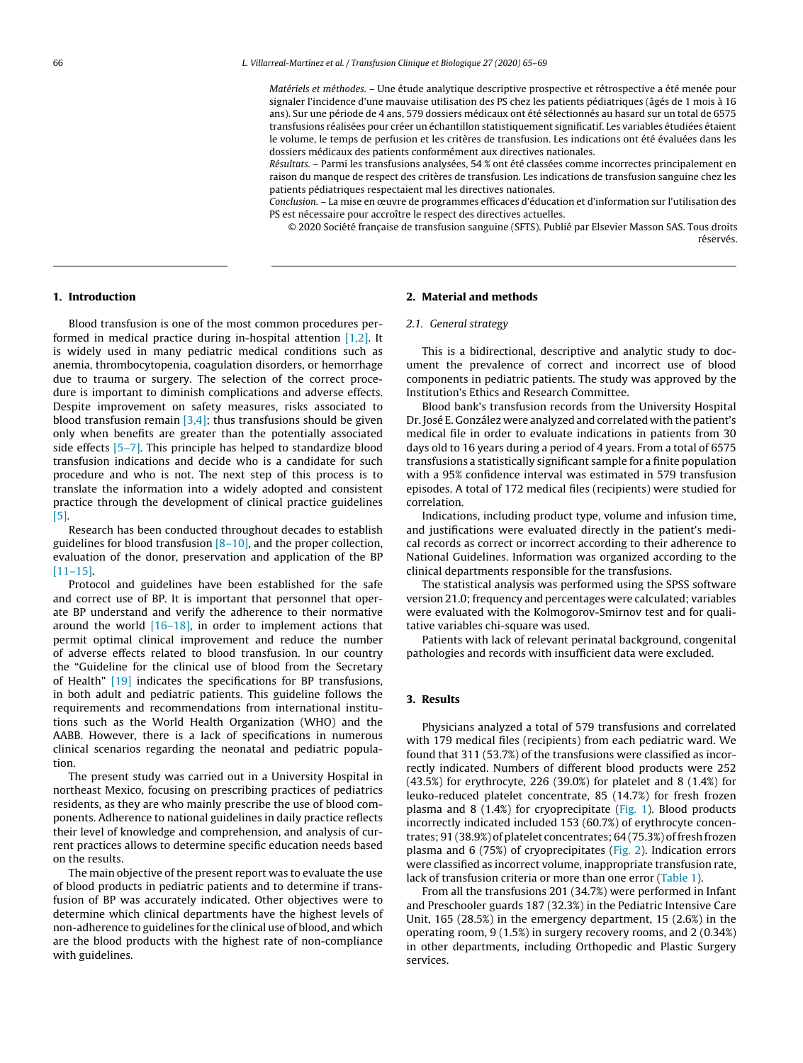Matériels et méthodes. – Une étude analytique descriptive prospective et rétrospective a été menée pour signaler l'incidence d'une mauvaise utilisation des PS chez les patients pédiatriques (âgés de 1 mois à 16 ans). Sur une période de 4 ans, 579 dossiers médicaux ont été sélectionnés au hasard sur un total de 6575 transfusions réalisées pour créer un échantillon statistiquement significatif. Les variables étudiées étaient le volume, le temps de perfusion et les critères de transfusion. Les indications ont été évaluées dans les dossiers médicaux des patients conformément aux directives nationales.

Résultats. – Parmi les transfusions analysées, 54 % ont été classées comme incorrectes principalement en raison du manque de respect des critères de transfusion. Les indications de transfusion sanguine chez les patients pédiatriques respectaient mal les directives nationales.

Conclusion. – La mise en œuvre de programmes efficaces d'éducation et d'information sur l'utilisation des PS est nécessaire pour accroître le respect des directives actuelles.

© 2020 Société française de transfusion sanguine (SFTS). Publié par Elsevier Masson SAS. Tous droits réservés.

## **1. Introduction**

Blood transfusion is one of the most common procedures performed in medical practice during in-hospital attention [\[1,2\].](#page-3-0) It is widely used in many pediatric medical conditions such as anemia, thrombocytopenia, coagulation disorders, or hemorrhage due to trauma or surgery. The selection of the correct procedure is important to diminish complications and adverse effects. Despite improvement on safety measures, risks associated to blood transfusion remain  $[3,4]$ ; thus transfusions should be given only when benefits are greater than the potentially associated side effects [\[5–7\].](#page-3-0) This principle has helped to standardize blood transfusion indications and decide who is a candidate for such procedure and who is not. The next step of this process is to translate the information into a widely adopted and consistent practice through the development of clinical practice guidelines [\[5\].](#page-3-0)

Research has been conducted throughout decades to establish guidelines for blood transfusion  $[8-10]$ , and the proper collection, evaluation of the donor, preservation and application of the BP [\[11–15\].](#page-4-0)

Protocol and guidelines have been established for the safe and correct use of BP. It is important that personnel that operate BP understand and verify the adherence to their normative around the world  $[16–18]$ , in order to implement actions that permit optimal clinical improvement and reduce the number of adverse effects related to blood transfusion. In our country the "Guideline for the clinical use of blood from the Secretary of Health" [\[19\]](#page-4-0) indicates the specifications for BP transfusions, in both adult and pediatric patients. This guideline follows the requirements and recommendations from international institutions such as the World Health Organization (WHO) and the AABB. However, there is a lack of specifications in numerous clinical scenarios regarding the neonatal and pediatric population.

The present study was carried out in a University Hospital in northeast Mexico, focusing on prescribing practices of pediatrics residents, as they are who mainly prescribe the use of blood components. Adherence to national guidelines in daily practice reflects their level of knowledge and comprehension, and analysis of current practices allows to determine specific education needs based on the results.

The main objective of the present report was to evaluate the use of blood products in pediatric patients and to determine if transfusion of BP was accurately indicated. Other objectives were to determine which clinical departments have the highest levels of non-adherence to guidelines for the clinical use of blood, and which are the blood products with the highest rate of non-compliance with guidelines.

## **2. Material and methods**

## 2.1. General strategy

This is a bidirectional, descriptive and analytic study to document the prevalence of correct and incorrect use of blood components in pediatric patients. The study was approved by the Institution's Ethics and Research Committee.

Blood bank's transfusion records from the University Hospital Dr. José E. González were analyzed and correlated with the patient's medical file in order to evaluate indications in patients from 30 days old to 16 years during a period of 4 years. From a total of 6575 transfusions a statistically significant sample for a finite population with a 95% confidence interval was estimated in 579 transfusion episodes. A total of 172 medical files (recipients) were studied for correlation.

Indications, including product type, volume and infusion time, and justifications were evaluated directly in the patient's medical records as correct or incorrect according to their adherence to National Guidelines. Information was organized according to the clinical departments responsible for the transfusions.

The statistical analysis was performed using the SPSS software version 21.0; frequency and percentages were calculated; variables were evaluated with the Kolmogorov-Smirnov test and for qualitative variables chi-square was used.

Patients with lack of relevant perinatal background, congenital pathologies and records with insufficient data were excluded.

## **3. Results**

Physicians analyzed a total of 579 transfusions and correlated with 179 medical files (recipients) from each pediatric ward. We found that 311 (53.7%) of the transfusions were classified as incorrectly indicated. Numbers of different blood products were 252 (43.5%) for erythrocyte, 226 (39.0%) for platelet and 8 (1.4%) for leuko-reduced platelet concentrate, 85 (14.7%) for fresh frozen plasma and 8 (1.4%) for cryoprecipitate ([Fig.](#page-2-0) 1). Blood products incorrectly indicated included 153 (60.7%) of erythrocyte concentrates; 91 (38.9%) of platelet concentrates; 64 (75.3%) of fresh frozen plasma and 6 (75%) of cryoprecipitates [\(Fig.](#page-2-0) 2). Indication errors were classified as incorrect volume, inappropriate transfusion rate, lack of transfusion criteria or more than one error ([Table](#page-2-0) 1).

From all the transfusions 201 (34.7%) were performed in Infant and Preschooler guards 187 (32.3%) in the Pediatric Intensive Care Unit, 165 (28.5%) in the emergency department, 15 (2.6%) in the operating room, 9 (1.5%) in surgery recovery rooms, and 2 (0.34%) in other departments, including Orthopedic and Plastic Surgery services.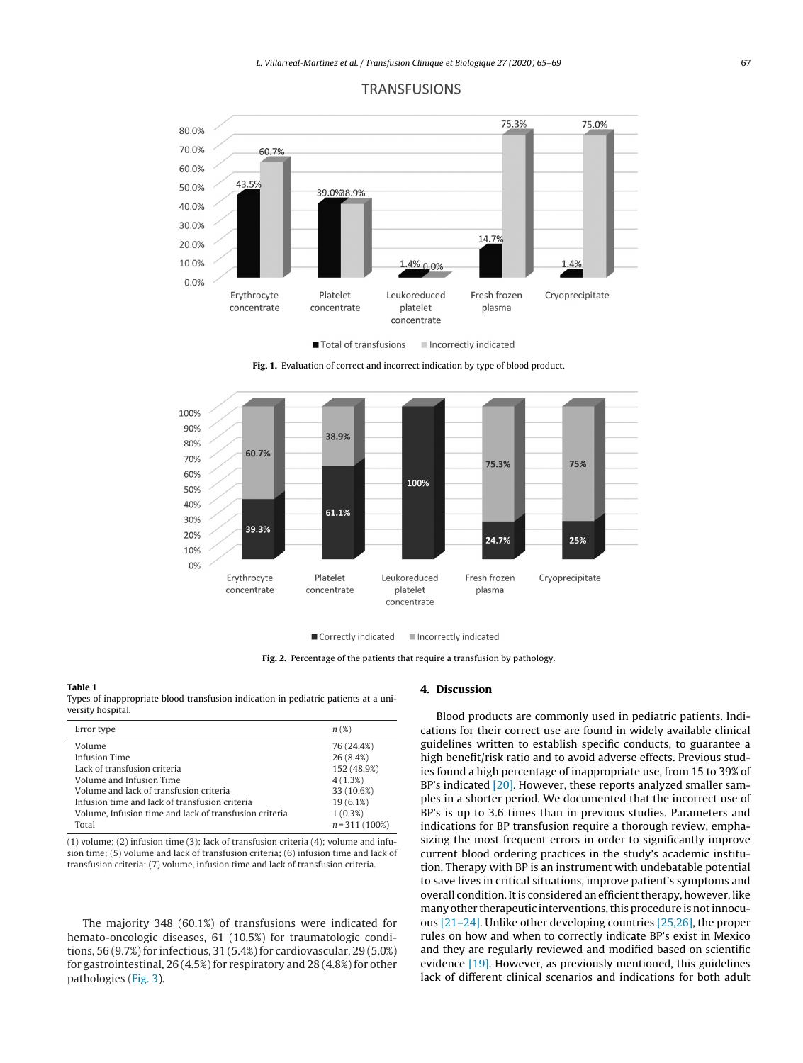<span id="page-2-0"></span>

## **TRANSFUSIONS**



**Fig. 1.** Evaluation of correct and incorrect indication by type of blood product.



Correctly indicated Incorrectly indicated

**Fig. 2.** Percentage of the patients that require a transfusion by pathology.

#### **Table 1**

Types of inappropriate blood transfusion indication in pediatric patients at a university hospital.

| Error type                                             | $n(\mathcal{X})$ |
|--------------------------------------------------------|------------------|
| Volume                                                 | 76 (24.4%)       |
| Infusion Time                                          | 26(8.4%)         |
| Lack of transfusion criteria                           | 152 (48.9%)      |
| Volume and Infusion Time                               | 4(1.3%)          |
| Volume and lack of transfusion criteria                | 33 (10.6%)       |
| Infusion time and lack of transfusion criteria         | 19(6.1%)         |
| Volume. Infusion time and lack of transfusion criteria | $1(0.3\%)$       |
| Total                                                  | $n = 311(100\%)$ |

(1) volume; (2) infusion time (3); lack of transfusion criteria (4); volume and infusion time; (5) volume and lack of transfusion criteria; (6) infusion time and lack of transfusion criteria; (7) volume, infusion time and lack of transfusion criteria.

The majority 348 (60.1%) of transfusions were indicated for hemato-oncologic diseases, 61 (10.5%) for traumatologic conditions,  $56 (9.7%)$  for infectious,  $31 (5.4%)$  for cardiovascular,  $29 (5.0%)$ for gastrointestinal, 26 (4.5%) for respiratory and 28 (4.8%) for other pathologies [\(Fig.](#page-3-0) 3).

## **4. Discussion**

Blood products are commonly used in pediatric patients. Indications for their correct use are found in widely available clinical guidelines written to establish specific conducts, to guarantee a high benefit/risk ratio and to avoid adverse effects. Previous studies found a high percentage of inappropriate use, from 15 to 39% of BP's indicated [\[20\].](#page-4-0) However, these reports analyzed smaller samples in a shorter period. We documented that the incorrect use of BP's is up to 3.6 times than in previous studies. Parameters and indications for BP transfusion require a thorough review, emphasizing the most frequent errors in order to significantly improve current blood ordering practices in the study's academic institution. Therapy with BP is an instrument with undebatable potential to save lives in critical situations, improve patient's symptoms and overall condition. It is considered an efficient therapy, however, like many other therapeutic interventions,this procedure is notinnocuous [\[21–24\].](#page-4-0) Unlike other developing countries [\[25,26\],](#page-4-0) the proper rules on how and when to correctly indicate BP's exist in Mexico and they are regularly reviewed and modified based on scientific evidence [\[19\].](#page-4-0) However, as previously mentioned, this guidelines lack of different clinical scenarios and indications for both adult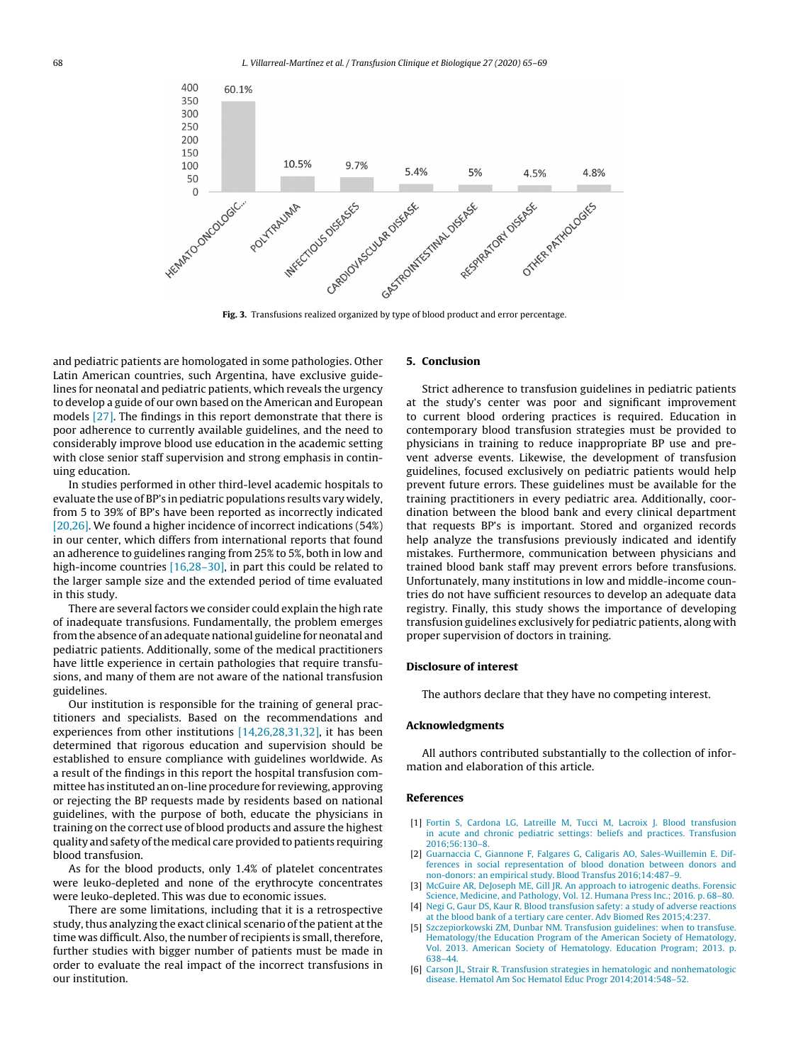<span id="page-3-0"></span>

**Fig. 3.** Transfusions realized organized by type of blood product and error percentage.

and pediatric patients are homologated in some pathologies. Other Latin American countries, such Argentina, have exclusive guidelines for neonatal and pediatric patients, which reveals the urgency to develop a guide of our own based on the American and European models [\[27\].](#page-4-0) The findings in this report demonstrate that there is poor adherence to currently available guidelines, and the need to considerably improve blood use education in the academic setting with close senior staff supervision and strong emphasis in continuing education.

In studies performed in other third-level academic hospitals to evaluate the use of BP's in pediatric populations results vary widely, from 5 to 39% of BP's have been reported as incorrectly indicated [\[20,26\].](#page-4-0) We found a higher incidence of incorrect indications (54%) in our center, which differs from international reports that found an adherence to guidelines ranging from 25% to 5%, both in low and high-income countries [\[16,28–30\],](#page-4-0) in part this could be related to the larger sample size and the extended period of time evaluated in this study.

There are several factors we consider could explain the high rate of inadequate transfusions. Fundamentally, the problem emerges fromthe absence of an adequate national guideline for neonatal and pediatric patients. Additionally, some of the medical practitioners have little experience in certain pathologies that require transfusions, and many of them are not aware of the national transfusion guidelines.

Our institution is responsible for the training of general practitioners and specialists. Based on the recommendations and experiences from other institutions [\[14,26,28,31,32\],](#page-4-0) it has been determined that rigorous education and supervision should be established to ensure compliance with guidelines worldwide. As a result of the findings in this report the hospital transfusion committee has instituted an on-line procedure for reviewing, approving or rejecting the BP requests made by residents based on national guidelines, with the purpose of both, educate the physicians in training on the correct use of blood products and assure the highest quality and safety of the medical care provided to patients requiring blood transfusion.

As for the blood products, only 1.4% of platelet concentrates were leuko-depleted and none of the erythrocyte concentrates were leuko-depleted. This was due to economic issues.

There are some limitations, including that it is a retrospective study, thus analyzing the exact clinical scenario of the patient at the time was difficult. Also, the number of recipients is small, therefore, further studies with bigger number of patients must be made in order to evaluate the real impact of the incorrect transfusions in our institution.

## **5. Conclusion**

Strict adherence to transfusion guidelines in pediatric patients at the study's center was poor and significant improvement to current blood ordering practices is required. Education in contemporary blood transfusion strategies must be provided to physicians in training to reduce inappropriate BP use and prevent adverse events. Likewise, the development of transfusion guidelines, focused exclusively on pediatric patients would help prevent future errors. These guidelines must be available for the training practitioners in every pediatric area. Additionally, coordination between the blood bank and every clinical department that requests BP's is important. Stored and organized records help analyze the transfusions previously indicated and identify mistakes. Furthermore, communication between physicians and trained blood bank staff may prevent errors before transfusions. Unfortunately, many institutions in low and middle-income countries do not have sufficient resources to develop an adequate data registry. Finally, this study shows the importance of developing transfusion guidelines exclusively for pediatric patients, along with proper supervision of doctors in training.

## **Disclosure of interest**

The authors declare that they have no competing interest.

## **Acknowledgments**

All authors contributed substantially to the collection of information and elaboration of this article.

## **References**

- [1] [Fortin](http://refhub.elsevier.com/S1246-7820(20)30037-9/sbref0165) [S,](http://refhub.elsevier.com/S1246-7820(20)30037-9/sbref0165) [Cardona](http://refhub.elsevier.com/S1246-7820(20)30037-9/sbref0165) [LG,](http://refhub.elsevier.com/S1246-7820(20)30037-9/sbref0165) [Latreille](http://refhub.elsevier.com/S1246-7820(20)30037-9/sbref0165) [M,](http://refhub.elsevier.com/S1246-7820(20)30037-9/sbref0165) [Tucci](http://refhub.elsevier.com/S1246-7820(20)30037-9/sbref0165) M, [Lacroix](http://refhub.elsevier.com/S1246-7820(20)30037-9/sbref0165) [J.](http://refhub.elsevier.com/S1246-7820(20)30037-9/sbref0165) [Blood](http://refhub.elsevier.com/S1246-7820(20)30037-9/sbref0165) [transfusion](http://refhub.elsevier.com/S1246-7820(20)30037-9/sbref0165) [in](http://refhub.elsevier.com/S1246-7820(20)30037-9/sbref0165) [acute](http://refhub.elsevier.com/S1246-7820(20)30037-9/sbref0165) [and](http://refhub.elsevier.com/S1246-7820(20)30037-9/sbref0165) [chronic](http://refhub.elsevier.com/S1246-7820(20)30037-9/sbref0165) [pediatric](http://refhub.elsevier.com/S1246-7820(20)30037-9/sbref0165) [settings:](http://refhub.elsevier.com/S1246-7820(20)30037-9/sbref0165) [beliefs](http://refhub.elsevier.com/S1246-7820(20)30037-9/sbref0165) [and](http://refhub.elsevier.com/S1246-7820(20)30037-9/sbref0165) [practices.](http://refhub.elsevier.com/S1246-7820(20)30037-9/sbref0165) [Transfusion](http://refhub.elsevier.com/S1246-7820(20)30037-9/sbref0165) [2016;56:130](http://refhub.elsevier.com/S1246-7820(20)30037-9/sbref0165)–[8.](http://refhub.elsevier.com/S1246-7820(20)30037-9/sbref0165)
- [2] [Guarnaccia](http://refhub.elsevier.com/S1246-7820(20)30037-9/sbref0170) [C,](http://refhub.elsevier.com/S1246-7820(20)30037-9/sbref0170) [Giannone](http://refhub.elsevier.com/S1246-7820(20)30037-9/sbref0170) [F,](http://refhub.elsevier.com/S1246-7820(20)30037-9/sbref0170) [Falgares](http://refhub.elsevier.com/S1246-7820(20)30037-9/sbref0170) [G,](http://refhub.elsevier.com/S1246-7820(20)30037-9/sbref0170) [Caligaris](http://refhub.elsevier.com/S1246-7820(20)30037-9/sbref0170) [AO,](http://refhub.elsevier.com/S1246-7820(20)30037-9/sbref0170) [Sales-Wuillemin](http://refhub.elsevier.com/S1246-7820(20)30037-9/sbref0170) [E.](http://refhub.elsevier.com/S1246-7820(20)30037-9/sbref0170) [Dif](http://refhub.elsevier.com/S1246-7820(20)30037-9/sbref0170)[ferences](http://refhub.elsevier.com/S1246-7820(20)30037-9/sbref0170) [in](http://refhub.elsevier.com/S1246-7820(20)30037-9/sbref0170) [social](http://refhub.elsevier.com/S1246-7820(20)30037-9/sbref0170) [representation](http://refhub.elsevier.com/S1246-7820(20)30037-9/sbref0170) [of](http://refhub.elsevier.com/S1246-7820(20)30037-9/sbref0170) [blood](http://refhub.elsevier.com/S1246-7820(20)30037-9/sbref0170) [donation](http://refhub.elsevier.com/S1246-7820(20)30037-9/sbref0170) [between](http://refhub.elsevier.com/S1246-7820(20)30037-9/sbref0170) [donors](http://refhub.elsevier.com/S1246-7820(20)30037-9/sbref0170) [and](http://refhub.elsevier.com/S1246-7820(20)30037-9/sbref0170) [non-donors:](http://refhub.elsevier.com/S1246-7820(20)30037-9/sbref0170) [an](http://refhub.elsevier.com/S1246-7820(20)30037-9/sbref0170) [empirical](http://refhub.elsevier.com/S1246-7820(20)30037-9/sbref0170) [study.](http://refhub.elsevier.com/S1246-7820(20)30037-9/sbref0170) [Blood](http://refhub.elsevier.com/S1246-7820(20)30037-9/sbref0170) [Transfus](http://refhub.elsevier.com/S1246-7820(20)30037-9/sbref0170) [2016;14:487–9.](http://refhub.elsevier.com/S1246-7820(20)30037-9/sbref0170)
- [3] [McGuire](http://refhub.elsevier.com/S1246-7820(20)30037-9/sbref0175) [AR,](http://refhub.elsevier.com/S1246-7820(20)30037-9/sbref0175) [DeJoseph](http://refhub.elsevier.com/S1246-7820(20)30037-9/sbref0175) [ME,](http://refhub.elsevier.com/S1246-7820(20)30037-9/sbref0175) [Gill](http://refhub.elsevier.com/S1246-7820(20)30037-9/sbref0175) [JR.](http://refhub.elsevier.com/S1246-7820(20)30037-9/sbref0175) [An](http://refhub.elsevier.com/S1246-7820(20)30037-9/sbref0175) [approach](http://refhub.elsevier.com/S1246-7820(20)30037-9/sbref0175) [to](http://refhub.elsevier.com/S1246-7820(20)30037-9/sbref0175) [iatrogenic](http://refhub.elsevier.com/S1246-7820(20)30037-9/sbref0175) [deaths.](http://refhub.elsevier.com/S1246-7820(20)30037-9/sbref0175) [Forensic](http://refhub.elsevier.com/S1246-7820(20)30037-9/sbref0175) [Science,](http://refhub.elsevier.com/S1246-7820(20)30037-9/sbref0175) [Medicine,](http://refhub.elsevier.com/S1246-7820(20)30037-9/sbref0175) [and](http://refhub.elsevier.com/S1246-7820(20)30037-9/sbref0175) [Pathology,](http://refhub.elsevier.com/S1246-7820(20)30037-9/sbref0175) [Vol.](http://refhub.elsevier.com/S1246-7820(20)30037-9/sbref0175) [12.](http://refhub.elsevier.com/S1246-7820(20)30037-9/sbref0175) [Humana](http://refhub.elsevier.com/S1246-7820(20)30037-9/sbref0175) [Press](http://refhub.elsevier.com/S1246-7820(20)30037-9/sbref0175) [Inc.;](http://refhub.elsevier.com/S1246-7820(20)30037-9/sbref0175) [2016.](http://refhub.elsevier.com/S1246-7820(20)30037-9/sbref0175) [p.](http://refhub.elsevier.com/S1246-7820(20)30037-9/sbref0175) [68–80.](http://refhub.elsevier.com/S1246-7820(20)30037-9/sbref0175)
- [4] [Negi](http://refhub.elsevier.com/S1246-7820(20)30037-9/sbref0180) [G,](http://refhub.elsevier.com/S1246-7820(20)30037-9/sbref0180) [Gaur](http://refhub.elsevier.com/S1246-7820(20)30037-9/sbref0180) [DS,](http://refhub.elsevier.com/S1246-7820(20)30037-9/sbref0180) [Kaur](http://refhub.elsevier.com/S1246-7820(20)30037-9/sbref0180) [R.](http://refhub.elsevier.com/S1246-7820(20)30037-9/sbref0180) [Blood](http://refhub.elsevier.com/S1246-7820(20)30037-9/sbref0180) [transfusion](http://refhub.elsevier.com/S1246-7820(20)30037-9/sbref0180) [safety:](http://refhub.elsevier.com/S1246-7820(20)30037-9/sbref0180) [a](http://refhub.elsevier.com/S1246-7820(20)30037-9/sbref0180) [study](http://refhub.elsevier.com/S1246-7820(20)30037-9/sbref0180) [of](http://refhub.elsevier.com/S1246-7820(20)30037-9/sbref0180) [adverse](http://refhub.elsevier.com/S1246-7820(20)30037-9/sbref0180) [reactions](http://refhub.elsevier.com/S1246-7820(20)30037-9/sbref0180) [at](http://refhub.elsevier.com/S1246-7820(20)30037-9/sbref0180) [the](http://refhub.elsevier.com/S1246-7820(20)30037-9/sbref0180) [blood](http://refhub.elsevier.com/S1246-7820(20)30037-9/sbref0180) [bank](http://refhub.elsevier.com/S1246-7820(20)30037-9/sbref0180) [of](http://refhub.elsevier.com/S1246-7820(20)30037-9/sbref0180) [a](http://refhub.elsevier.com/S1246-7820(20)30037-9/sbref0180) [tertiary](http://refhub.elsevier.com/S1246-7820(20)30037-9/sbref0180) [care](http://refhub.elsevier.com/S1246-7820(20)30037-9/sbref0180) [center.](http://refhub.elsevier.com/S1246-7820(20)30037-9/sbref0180) [Adv](http://refhub.elsevier.com/S1246-7820(20)30037-9/sbref0180) [Biomed](http://refhub.elsevier.com/S1246-7820(20)30037-9/sbref0180) [Res](http://refhub.elsevier.com/S1246-7820(20)30037-9/sbref0180) [2015;4:237.](http://refhub.elsevier.com/S1246-7820(20)30037-9/sbref0180)
- [5] [Szczepiorkowski](http://refhub.elsevier.com/S1246-7820(20)30037-9/sbref0185) [ZM,](http://refhub.elsevier.com/S1246-7820(20)30037-9/sbref0185) [Dunbar](http://refhub.elsevier.com/S1246-7820(20)30037-9/sbref0185) [NM.](http://refhub.elsevier.com/S1246-7820(20)30037-9/sbref0185) [Transfusion](http://refhub.elsevier.com/S1246-7820(20)30037-9/sbref0185) [guidelines:](http://refhub.elsevier.com/S1246-7820(20)30037-9/sbref0185) [when](http://refhub.elsevier.com/S1246-7820(20)30037-9/sbref0185) [to](http://refhub.elsevier.com/S1246-7820(20)30037-9/sbref0185) [transfuse.](http://refhub.elsevier.com/S1246-7820(20)30037-9/sbref0185) [Hematology/the](http://refhub.elsevier.com/S1246-7820(20)30037-9/sbref0185) [Education](http://refhub.elsevier.com/S1246-7820(20)30037-9/sbref0185) [Program](http://refhub.elsevier.com/S1246-7820(20)30037-9/sbref0185) [of](http://refhub.elsevier.com/S1246-7820(20)30037-9/sbref0185) [the](http://refhub.elsevier.com/S1246-7820(20)30037-9/sbref0185) [American](http://refhub.elsevier.com/S1246-7820(20)30037-9/sbref0185) [Society](http://refhub.elsevier.com/S1246-7820(20)30037-9/sbref0185) [of](http://refhub.elsevier.com/S1246-7820(20)30037-9/sbref0185) [Hematology,](http://refhub.elsevier.com/S1246-7820(20)30037-9/sbref0185) [Vol.](http://refhub.elsevier.com/S1246-7820(20)30037-9/sbref0185) [2013.](http://refhub.elsevier.com/S1246-7820(20)30037-9/sbref0185) [American](http://refhub.elsevier.com/S1246-7820(20)30037-9/sbref0185) [Society](http://refhub.elsevier.com/S1246-7820(20)30037-9/sbref0185) [of](http://refhub.elsevier.com/S1246-7820(20)30037-9/sbref0185) [Hematology.](http://refhub.elsevier.com/S1246-7820(20)30037-9/sbref0185) [Education](http://refhub.elsevier.com/S1246-7820(20)30037-9/sbref0185) [Program;](http://refhub.elsevier.com/S1246-7820(20)30037-9/sbref0185) [2013.](http://refhub.elsevier.com/S1246-7820(20)30037-9/sbref0185) [p.](http://refhub.elsevier.com/S1246-7820(20)30037-9/sbref0185) [638–44.](http://refhub.elsevier.com/S1246-7820(20)30037-9/sbref0185)
- [6] [Carson](http://refhub.elsevier.com/S1246-7820(20)30037-9/sbref0190) [JL,](http://refhub.elsevier.com/S1246-7820(20)30037-9/sbref0190) [Strair](http://refhub.elsevier.com/S1246-7820(20)30037-9/sbref0190) [R.](http://refhub.elsevier.com/S1246-7820(20)30037-9/sbref0190) [Transfusion](http://refhub.elsevier.com/S1246-7820(20)30037-9/sbref0190) [strategies](http://refhub.elsevier.com/S1246-7820(20)30037-9/sbref0190) [in](http://refhub.elsevier.com/S1246-7820(20)30037-9/sbref0190) [hematologic](http://refhub.elsevier.com/S1246-7820(20)30037-9/sbref0190) [and](http://refhub.elsevier.com/S1246-7820(20)30037-9/sbref0190) [nonhematologic](http://refhub.elsevier.com/S1246-7820(20)30037-9/sbref0190) [disease.](http://refhub.elsevier.com/S1246-7820(20)30037-9/sbref0190) [Hematol](http://refhub.elsevier.com/S1246-7820(20)30037-9/sbref0190) [Am](http://refhub.elsevier.com/S1246-7820(20)30037-9/sbref0190) [Soc](http://refhub.elsevier.com/S1246-7820(20)30037-9/sbref0190) [Hematol](http://refhub.elsevier.com/S1246-7820(20)30037-9/sbref0190) [Educ](http://refhub.elsevier.com/S1246-7820(20)30037-9/sbref0190) [Progr](http://refhub.elsevier.com/S1246-7820(20)30037-9/sbref0190) [2014;2014:548–52.](http://refhub.elsevier.com/S1246-7820(20)30037-9/sbref0190)